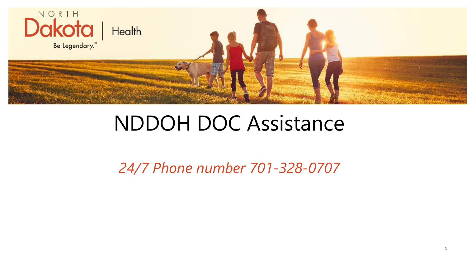

#### NDDOH DOC Assistance

*24/7 Phone number 701-328-0707*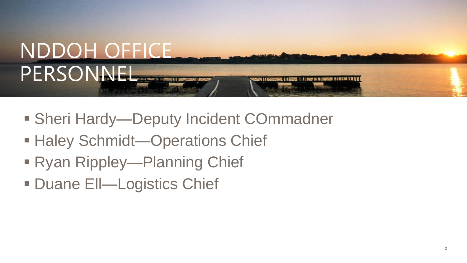

- Sheri Hardy—Deputy Incident COmmadner
- Haley Schmidt—Operations Chief
- Ryan Rippley—Planning Chief
- Duane Ell—Logistics Chief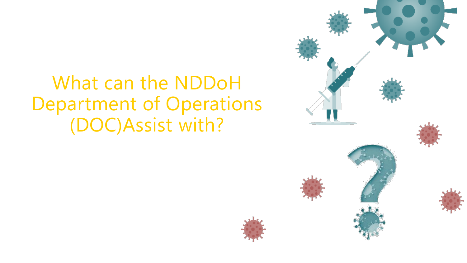What can the NDDoH Department of Operations (DOC)Assist with?

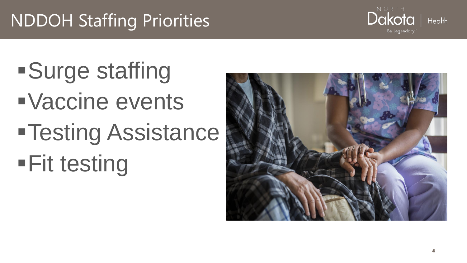#### NDDOH Staffing Priorities

▪Surge staffing ▪Vaccine events **•Testing Assistance •Fit testing** 



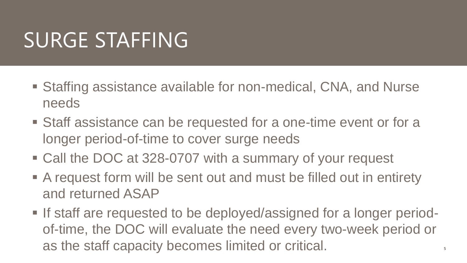### SURGE STAFFING

- Staffing assistance available for non-medical, CNA, and Nurse needs
- Staff assistance can be requested for a one-time event or for a longer period-of-time to cover surge needs
- Call the DOC at 328-0707 with a summary of your request
- A request form will be sent out and must be filled out in entirety and returned ASAP
- If staff are requested to be deployed/assigned for a longer periodof-time, the DOC will evaluate the need every two-week period or as the staff capacity becomes limited or critical.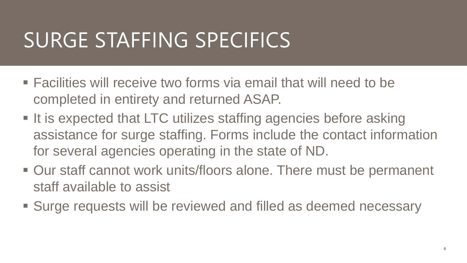## SURGE STAFFING SPECIFICS

- Facilities will receive two forms via email that will need to be completed in entirety and returned ASAP.
- It is expected that LTC utilizes staffing agencies before asking assistance for surge staffing. Forms include the contact information for several agencies operating in the state of ND.
- Our staff cannot work units/floors alone. There must be permanent staff available to assist
- Surge requests will be reviewed and filled as deemed necessary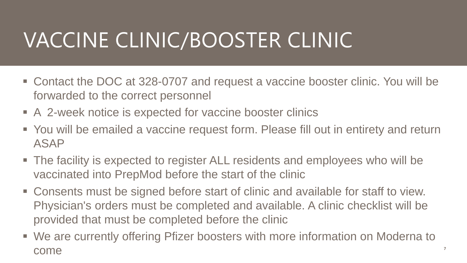# VACCINE CLINIC/BOOSTER CLINIC

- Contact the DOC at 328-0707 and request a vaccine booster clinic. You will be forwarded to the correct personnel
- A 2-week notice is expected for vaccine booster clinics
- You will be emailed a vaccine request form. Please fill out in entirety and return ASAP
- The facility is expected to register ALL residents and employees who will be vaccinated into PrepMod before the start of the clinic
- Consents must be signed before start of clinic and available for staff to view. Physician's orders must be completed and available. A clinic checklist will be provided that must be completed before the clinic
- We are currently offering Pfizer boosters with more information on Moderna to come

**7**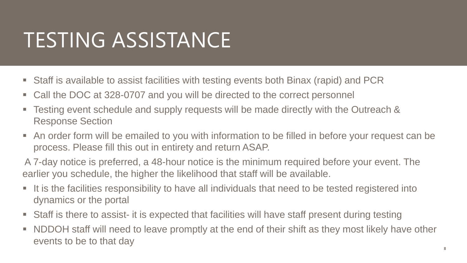### TESTING ASSISTANCE

- Staff is available to assist facilities with testing events both Binax (rapid) and PCR
- Call the DOC at 328-0707 and you will be directed to the correct personnel
- Testing event schedule and supply requests will be made directly with the Outreach & Response Section
- An order form will be emailed to you with information to be filled in before your request can be process. Please fill this out in entirety and return ASAP.

A 7-day notice is preferred, a 48-hour notice is the minimum required before your event. The earlier you schedule, the higher the likelihood that staff will be available.

- It is the facilities responsibility to have all individuals that need to be tested registered into dynamics or the portal
- Staff is there to assist- it is expected that facilities will have staff present during testing
- NDDOH staff will need to leave promptly at the end of their shift as they most likely have other events to be to that day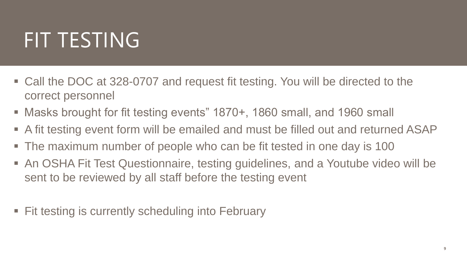### FIT TESTING

- Call the DOC at 328-0707 and request fit testing. You will be directed to the correct personnel
- Masks brought for fit testing events" 1870+, 1860 small, and 1960 small
- A fit testing event form will be emailed and must be filled out and returned ASAP
- The maximum number of people who can be fit tested in one day is 100
- **An OSHA Fit Test Questionnaire, testing guidelines, and a Youtube video will be** sent to be reviewed by all staff before the testing event
- **Example 3 Fit testing is currently scheduling into February**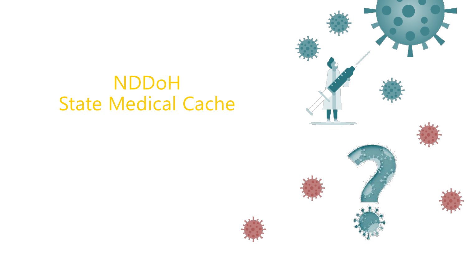#### NDDoH State Medical Cache

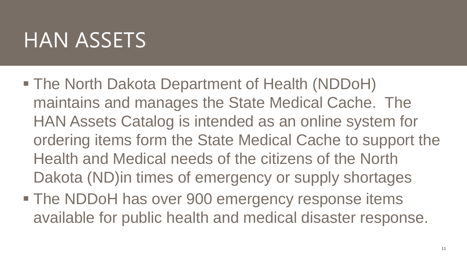#### **HAN ASSETS**

- The North Dakota Department of Health (NDDoH) maintains and manages the State Medical Cache. The HAN Assets Catalog is intended as an online system for ordering items form the State Medical Cache to support the Health and Medical needs of the citizens of the North Dakota (ND)in times of emergency or supply shortages
- **The NDDoH has over 900 emergency response items** available for public health and medical disaster response.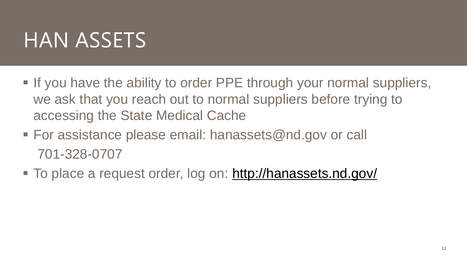#### HAN ASSETS

- **.** If you have the ability to order PPE through your normal suppliers, we ask that you reach out to normal suppliers before trying to accessing the State Medical Cache
- $\blacksquare$  For assistance please email: hanassets@nd.gov or call 701-328-0707
- To place a request order, log on:<http://hanassets.nd.gov/>